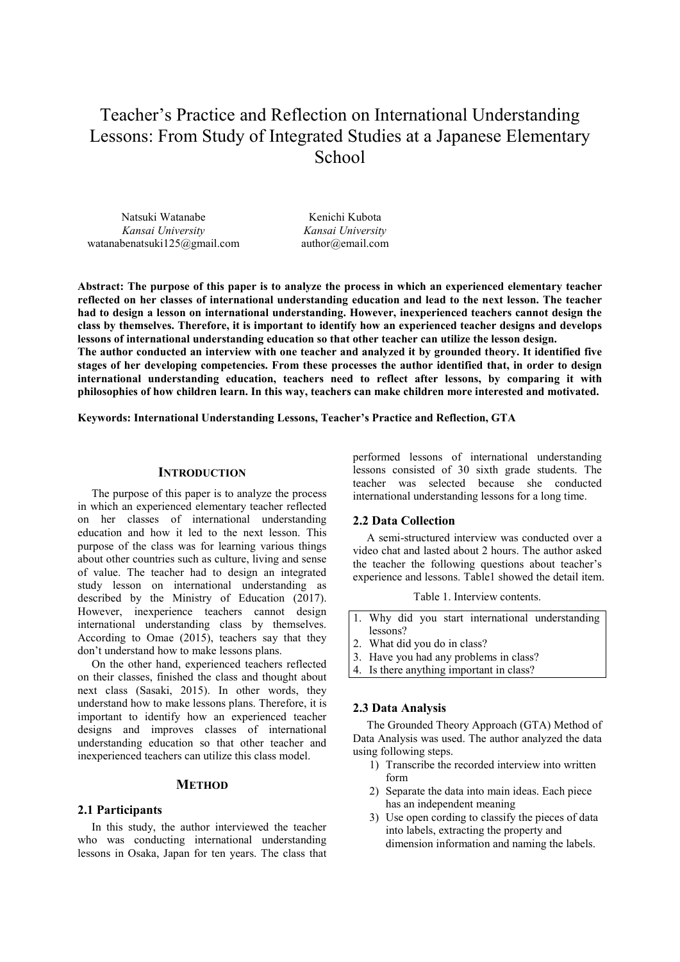# Teacher's Practice and Reflection on International Understanding Lessons: From Study of Integrated Studies at a Japanese Elementary **School**

Natsuki Watanabe *Kansai University* watanabenatsuki125@gmail.com

Kenichi Kubota *Kansai University* author@email.com

**Abstract: The purpose of this paper is to analyze the process in which an experienced elementary teacher reflected on her classes of international understanding education and lead to the next lesson. The teacher had to design a lesson on international understanding. However, inexperienced teachers cannot design the class by themselves. Therefore, it is important to identify how an experienced teacher designs and develops lessons of international understanding education so that other teacher can utilize the lesson design.** 

**The author conducted an interview with one teacher and analyzed it by grounded theory. It identified five stages of her developing competencies. From these processes the author identified that, in order to design international understanding education, teachers need to reflect after lessons, by comparing it with philosophies of how children learn. In this way, teachers can make children more interested and motivated.** 

**Keywords: International Understanding Lessons, Teacher's Practice and Reflection, GTA** 

## **INTRODUCTION**

The purpose of this paper is to analyze the process in which an experienced elementary teacher reflected on her classes of international understanding education and how it led to the next lesson. This purpose of the class was for learning various things about other countries such as culture, living and sense of value. The teacher had to design an integrated study lesson on international understanding as described by the Ministry of Education (2017). However, inexperience teachers cannot design international understanding class by themselves. According to Omae (2015), teachers say that they don't understand how to make lessons plans.

On the other hand, experienced teachers reflected on their classes, finished the class and thought about next class (Sasaki, 2015). In other words, they understand how to make lessons plans. Therefore, it is important to identify how an experienced teacher designs and improves classes of international understanding education so that other teacher and inexperienced teachers can utilize this class model.

#### **METHOD**

### **2.1 Participants**

In this study, the author interviewed the teacher who was conducting international understanding lessons in Osaka, Japan for ten years. The class that

performed lessons of international understanding lessons consisted of 30 sixth grade students. The teacher was selected because she conducted international understanding lessons for a long time.

## **2.2 Data Collection**

A semi-structured interview was conducted over a video chat and lasted about 2 hours. The author asked the teacher the following questions about teacher's experience and lessons. Table1 showed the detail item.

Table 1. Interview contents.

- 1. Why did you start international understanding lessons?
- 2. What did you do in class?
- 3. Have you had any problems in class?
- 4. Is there anything important in class?

## **2.3 Data Analysis**

The Grounded Theory Approach (GTA) Method of Data Analysis was used. The author analyzed the data using following steps.

- 1) Transcribe the recorded interview into written form
- 2) Separate the data into main ideas. Each piece has an independent meaning
- 3) Use open cording to classify the pieces of data into labels, extracting the property and dimension information and naming the labels.